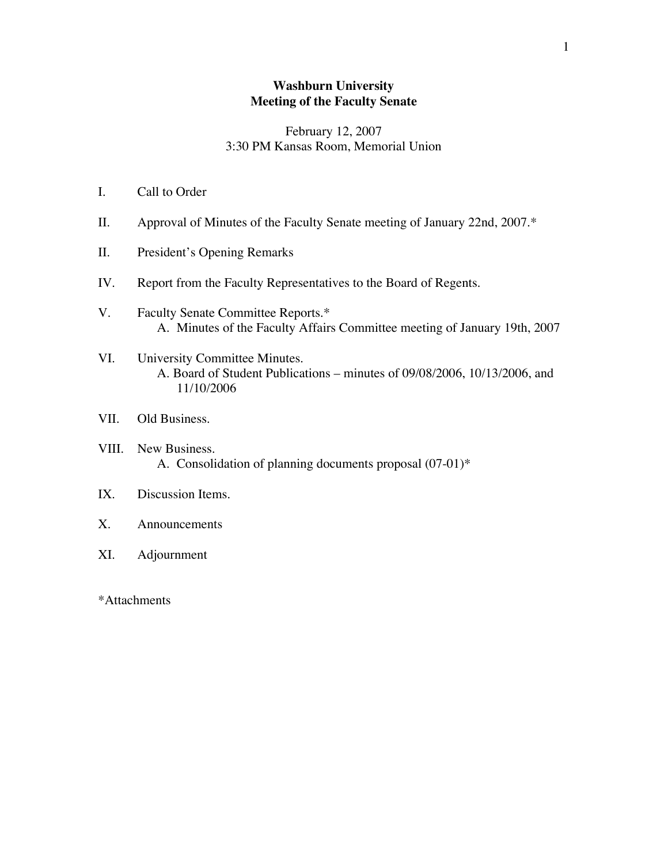### **Washburn University Meeting of the Faculty Senate**

### February 12, 2007 3:30 PM Kansas Room, Memorial Union

- I. Call to Order
- II. Approval of Minutes of the Faculty Senate meeting of January 22nd, 2007.\*
- II. President's Opening Remarks
- IV. Report from the Faculty Representatives to the Board of Regents.
- V. Faculty Senate Committee Reports.\* A. Minutes of the Faculty Affairs Committee meeting of January 19th, 2007
- VI. University Committee Minutes. A. Board of Student Publications – minutes of 09/08/2006, 10/13/2006, and 11/10/2006
- VII. Old Business.
- VIII. New Business. A. Consolidation of planning documents proposal (07-01)\*
- IX. Discussion Items.
- X. Announcements
- XI. Adjournment
- \*Attachments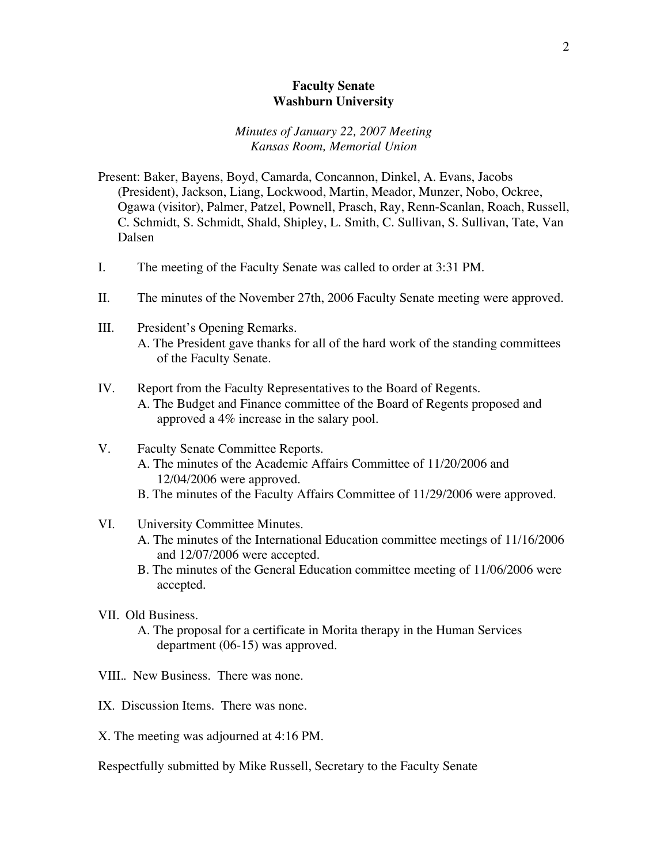### **Faculty Senate Washburn University**

#### *Minutes of January 22, 2007 Meeting Kansas Room, Memorial Union*

- Present: Baker, Bayens, Boyd, Camarda, Concannon, Dinkel, A. Evans, Jacobs (President), Jackson, Liang, Lockwood, Martin, Meador, Munzer, Nobo, Ockree, Ogawa (visitor), Palmer, Patzel, Pownell, Prasch, Ray, Renn-Scanlan, Roach, Russell, C. Schmidt, S. Schmidt, Shald, Shipley, L. Smith, C. Sullivan, S. Sullivan, Tate, Van Dalsen
- I. The meeting of the Faculty Senate was called to order at 3:31 PM.
- II. The minutes of the November 27th, 2006 Faculty Senate meeting were approved.
- III. President's Opening Remarks. A. The President gave thanks for all of the hard work of the standing committees of the Faculty Senate.
- IV. Report from the Faculty Representatives to the Board of Regents. A. The Budget and Finance committee of the Board of Regents proposed and approved a 4% increase in the salary pool.
- V. Faculty Senate Committee Reports.
	- A. The minutes of the Academic Affairs Committee of 11/20/2006 and 12/04/2006 were approved.
	- B. The minutes of the Faculty Affairs Committee of 11/29/2006 were approved.
- VI. University Committee Minutes.
	- A. The minutes of the International Education committee meetings of 11/16/2006 and 12/07/2006 were accepted.
	- B. The minutes of the General Education committee meeting of 11/06/2006 were accepted.
- VII. Old Business.
	- A. The proposal for a certificate in Morita therapy in the Human Services department (06-15) was approved.
- VIII.. New Business. There was none.
- IX. Discussion Items. There was none.
- X. The meeting was adjourned at 4:16 PM.

Respectfully submitted by Mike Russell, Secretary to the Faculty Senate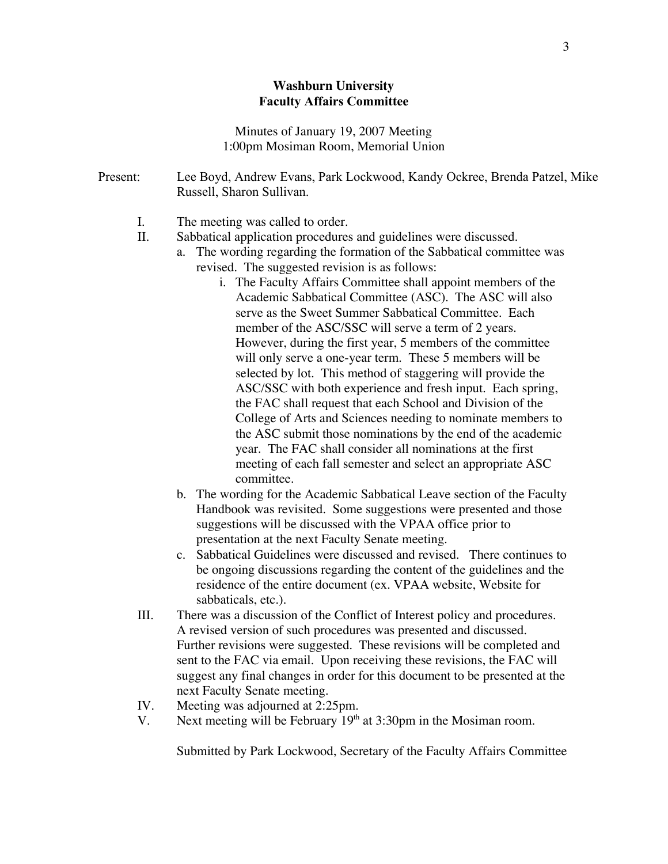### **Washburn University** Faculty Affairs Committee

Minutes of January 19, 2007 Meeting 1:00pm Mosiman Room, Memorial Union

| Present: | Lee Boyd, Andrew Evans, Park Lockwood, Kandy Ockree, Brenda Patzel, Mike<br>Russell, Sharon Sullivan. |
|----------|-------------------------------------------------------------------------------------------------------|
| I.       | The meeting was called to order.                                                                      |
| П.       | Sabbatical application procedures and guidelines were discussed.                                      |
|          | The wording regarding the formation of the Sabbatical committee was<br>a.                             |
|          | revised. The suggested revision is as follows:                                                        |
|          | i. The Faculty Affairs Committee shall appoint members of the                                         |
|          | Academic Sabbatical Committee (ASC). The ASC will also                                                |
|          | serve as the Sweet Summer Sabbatical Committee. Each                                                  |
|          | member of the ASC/SSC will serve a term of 2 years.                                                   |
|          | However, during the first year, 5 members of the committee                                            |
|          | will only serve a one-year term. These 5 members will be                                              |
|          | selected by lot. This method of staggering will provide the                                           |
|          | ASC/SSC with both experience and fresh input. Each spring,                                            |
|          | the FAC shall request that each School and Division of the                                            |
|          | College of Arts and Sciences needing to nominate members to                                           |
|          | the ASC submit those nominations by the end of the academic                                           |
|          | year. The FAC shall consider all nominations at the first                                             |
|          | meeting of each fall semester and select an appropriate ASC                                           |
|          | committee.                                                                                            |
|          | The wording for the Academic Sabbatical Leave section of the Faculty<br>b.                            |
|          | Handbook was revisited. Some suggestions were presented and those                                     |

- Handbook was revisited. Some suggestions were presented and those suggestions will be discussed with the VPAA office prior to presentation at the next Faculty Senate meeting.
- c. Sabbatical Guidelines were discussed and revised. There continues to be ongoing discussions regarding the content of the guidelines and the residence of the entire document (ex. VPAA website, Website for sabbaticals, etc.).
- III. There was a discussion of the Conflict of Interest policy and procedures. A revised version of such procedures was presented and discussed. Further revisions were suggested. These revisions will be completed and sent to the FAC via email. Upon receiving these revisions, the FAC will suggest any final changes in order for this document to be presented at the next Faculty Senate meeting.
- IV. Meeting was adjourned at 2:25pm.
- V. Next meeting will be February  $19<sup>th</sup>$  at 3:30pm in the Mosiman room.

Submitted by Park Lockwood, Secretary of the Faculty Affairs Committee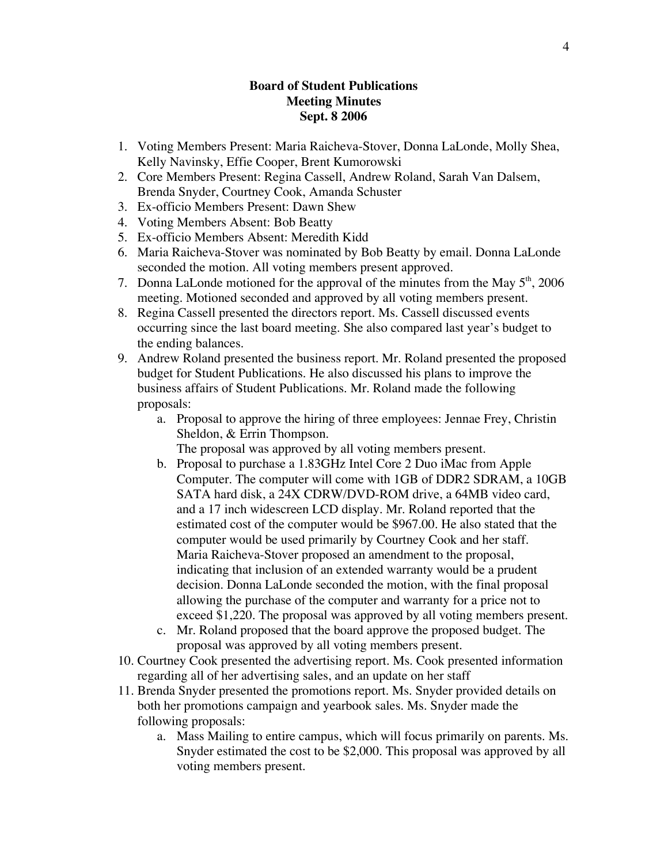### **Board of Student Publications Meeting Minutes Sept. 8 2006**

- 1. Voting Members Present: Maria Raicheva-Stover, Donna LaLonde, Molly Shea, Kelly Navinsky, Effie Cooper, Brent Kumorowski
- 2. Core Members Present: Regina Cassell, Andrew Roland, Sarah Van Dalsem, Brenda Snyder, Courtney Cook, Amanda Schuster
- 3. Ex-officio Members Present: Dawn Shew
- 4. Voting Members Absent: Bob Beatty
- 5. Ex-officio Members Absent: Meredith Kidd
- 6. Maria Raicheva-Stover was nominated by Bob Beatty by email. Donna LaLonde seconded the motion. All voting members present approved.
- 7. Donna LaLonde motioned for the approval of the minutes from the May  $5<sup>th</sup>$ , 2006 meeting. Motioned seconded and approved by all voting members present.
- 8. Regina Cassell presented the directors report. Ms. Cassell discussed events occurring since the last board meeting. She also compared last year's budget to the ending balances.
- 9. Andrew Roland presented the business report. Mr. Roland presented the proposed budget for Student Publications. He also discussed his plans to improve the business affairs of Student Publications. Mr. Roland made the following proposals:
	- a. Proposal to approve the hiring of three employees: Jennae Frey, Christin Sheldon, & Errin Thompson.

The proposal was approved by all voting members present.

- b. Proposal to purchase a 1.83GHz Intel Core 2 Duo iMac from Apple Computer. The computer will come with 1GB of DDR2 SDRAM, a 10GB SATA hard disk, a 24X CDRW/DVD-ROM drive, a 64MB video card, and a 17 inch widescreen LCD display. Mr. Roland reported that the estimated cost of the computer would be \$967.00. He also stated that the computer would be used primarily by Courtney Cook and her staff. Maria Raicheva-Stover proposed an amendment to the proposal, indicating that inclusion of an extended warranty would be a prudent decision. Donna LaLonde seconded the motion, with the final proposal allowing the purchase of the computer and warranty for a price not to exceed \$1,220. The proposal was approved by all voting members present.
- c. Mr. Roland proposed that the board approve the proposed budget. The proposal was approved by all voting members present.
- 10. Courtney Cook presented the advertising report. Ms. Cook presented information regarding all of her advertising sales, and an update on her staff
- 11. Brenda Snyder presented the promotions report. Ms. Snyder provided details on both her promotions campaign and yearbook sales. Ms. Snyder made the following proposals:
	- a. Mass Mailing to entire campus, which will focus primarily on parents. Ms. Snyder estimated the cost to be \$2,000. This proposal was approved by all voting members present.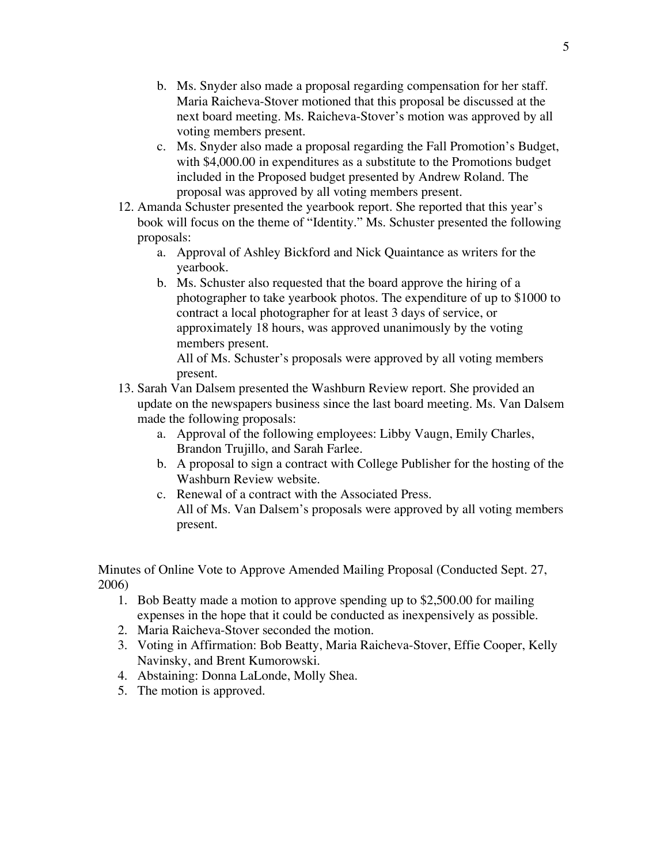- b. Ms. Snyder also made a proposal regarding compensation for her staff. Maria Raicheva-Stover motioned that this proposal be discussed at the next board meeting. Ms. Raicheva-Stover's motion was approved by all voting members present.
- c. Ms. Snyder also made a proposal regarding the Fall Promotion's Budget, with \$4,000.00 in expenditures as a substitute to the Promotions budget included in the Proposed budget presented by Andrew Roland. The proposal was approved by all voting members present.
- 12. Amanda Schuster presented the yearbook report. She reported that this year's book will focus on the theme of "Identity." Ms. Schuster presented the following proposals:
	- a. Approval of Ashley Bickford and Nick Quaintance as writers for the yearbook.
	- b. Ms. Schuster also requested that the board approve the hiring of a photographer to take yearbook photos. The expenditure of up to \$1000 to contract a local photographer for at least 3 days of service, or approximately 18 hours, was approved unanimously by the voting members present.

All of Ms. Schuster's proposals were approved by all voting members present.

- 13. Sarah Van Dalsem presented the Washburn Review report. She provided an update on the newspapers business since the last board meeting. Ms. Van Dalsem made the following proposals:
	- a. Approval of the following employees: Libby Vaugn, Emily Charles, Brandon Trujillo, and Sarah Farlee.
	- b. A proposal to sign a contract with College Publisher for the hosting of the Washburn Review website.
	- c. Renewal of a contract with the Associated Press. All of Ms. Van Dalsem's proposals were approved by all voting members present.

Minutes of Online Vote to Approve Amended Mailing Proposal (Conducted Sept. 27, 2006)

- 1. Bob Beatty made a motion to approve spending up to \$2,500.00 for mailing expenses in the hope that it could be conducted as inexpensively as possible.
- 2. Maria Raicheva-Stover seconded the motion.
- 3. Voting in Affirmation: Bob Beatty, Maria Raicheva-Stover, Effie Cooper, Kelly Navinsky, and Brent Kumorowski.
- 4. Abstaining: Donna LaLonde, Molly Shea.
- 5. The motion is approved.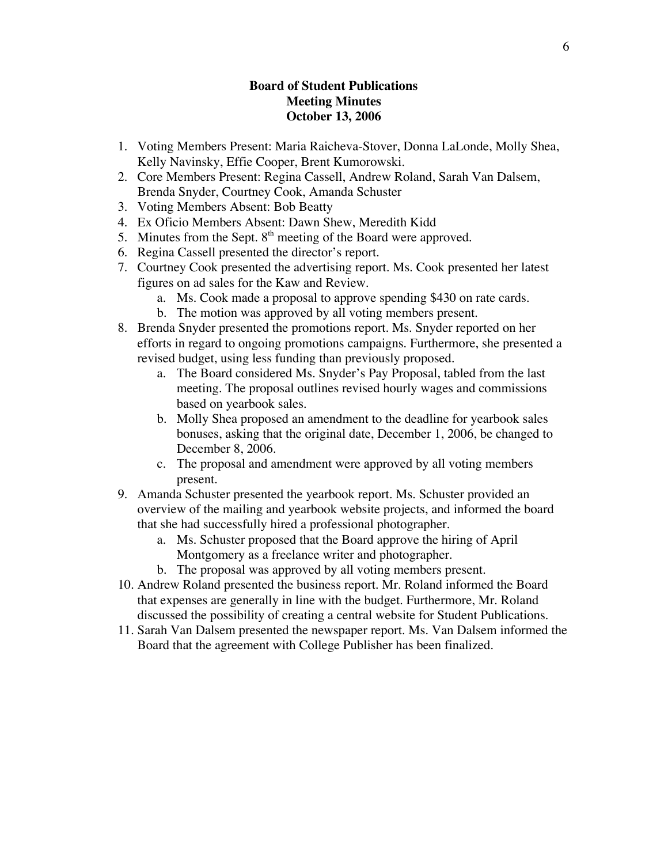### **Board of Student Publications Meeting Minutes October 13, 2006**

- 1. Voting Members Present: Maria Raicheva-Stover, Donna LaLonde, Molly Shea, Kelly Navinsky, Effie Cooper, Brent Kumorowski.
- 2. Core Members Present: Regina Cassell, Andrew Roland, Sarah Van Dalsem, Brenda Snyder, Courtney Cook, Amanda Schuster
- 3. Voting Members Absent: Bob Beatty
- 4. Ex Oficio Members Absent: Dawn Shew, Meredith Kidd
- 5. Minutes from the Sept.  $8<sup>th</sup>$  meeting of the Board were approved.
- 6. Regina Cassell presented the director's report.
- 7. Courtney Cook presented the advertising report. Ms. Cook presented her latest figures on ad sales for the Kaw and Review.
	- a. Ms. Cook made a proposal to approve spending \$430 on rate cards.
	- b. The motion was approved by all voting members present.
- 8. Brenda Snyder presented the promotions report. Ms. Snyder reported on her efforts in regard to ongoing promotions campaigns. Furthermore, she presented a revised budget, using less funding than previously proposed.
	- a. The Board considered Ms. Snyder's Pay Proposal, tabled from the last meeting. The proposal outlines revised hourly wages and commissions based on yearbook sales.
	- b. Molly Shea proposed an amendment to the deadline for yearbook sales bonuses, asking that the original date, December 1, 2006, be changed to December 8, 2006.
	- c. The proposal and amendment were approved by all voting members present.
- 9. Amanda Schuster presented the yearbook report. Ms. Schuster provided an overview of the mailing and yearbook website projects, and informed the board that she had successfully hired a professional photographer.
	- a. Ms. Schuster proposed that the Board approve the hiring of April Montgomery as a freelance writer and photographer.
	- b. The proposal was approved by all voting members present.
- 10. Andrew Roland presented the business report. Mr. Roland informed the Board that expenses are generally in line with the budget. Furthermore, Mr. Roland discussed the possibility of creating a central website for Student Publications.
- 11. Sarah Van Dalsem presented the newspaper report. Ms. Van Dalsem informed the Board that the agreement with College Publisher has been finalized.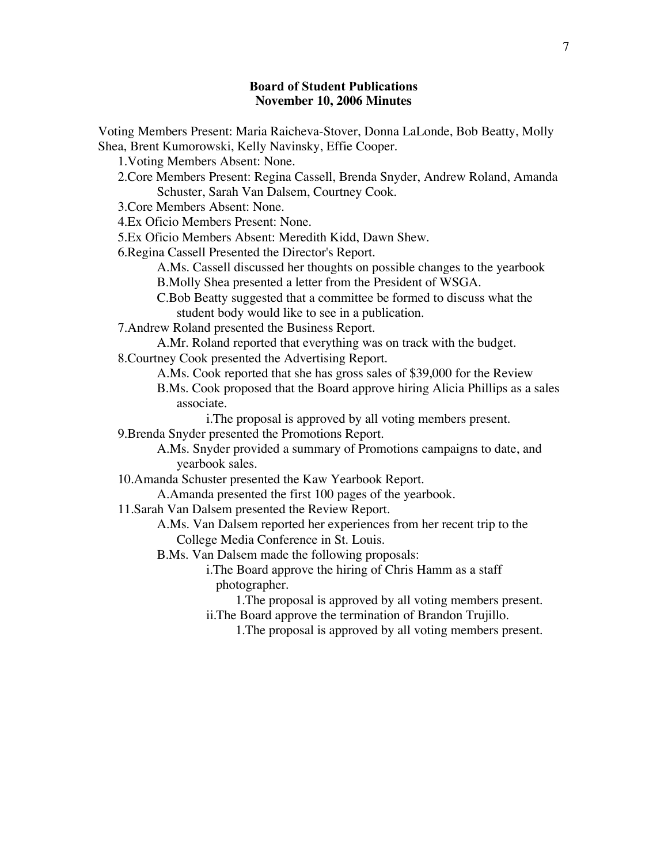# Board of Student Publications **November 10, 2006 Minutes**

| Voting Members Present: Maria Raicheva-Stover, Donna LaLonde, Bob Beatty, Molly |
|---------------------------------------------------------------------------------|
| Shea, Brent Kumorowski, Kelly Navinsky, Effie Cooper.                           |
| 1. Voting Members Absent: None.                                                 |
| 2. Core Members Present: Regina Cassell, Brenda Snyder, Andrew Roland, Amanda   |
| Schuster, Sarah Van Dalsem, Courtney Cook.                                      |
| 3. Core Members Absent: None.                                                   |
| 4. Ex Oficio Members Present: None.                                             |
| 5.Ex Oficio Members Absent: Meredith Kidd, Dawn Shew.                           |
| 6. Regina Cassell Presented the Director's Report.                              |
| A.Ms. Cassell discussed her thoughts on possible changes to the yearbook        |
| B. Molly Shea presented a letter from the President of WSGA.                    |
| C.Bob Beatty suggested that a committee be formed to discuss what the           |
| student body would like to see in a publication.                                |
| 7. Andrew Roland presented the Business Report.                                 |
| A.Mr. Roland reported that everything was on track with the budget.             |
| 8. Courtney Cook presented the Advertising Report.                              |
| A.Ms. Cook reported that she has gross sales of \$39,000 for the Review         |
| B.Ms. Cook proposed that the Board approve hiring Alicia Phillips as a sales    |
| associate.                                                                      |
| i. The proposal is approved by all voting members present.                      |
| 9. Brenda Snyder presented the Promotions Report.                               |
| A.Ms. Snyder provided a summary of Promotions campaigns to date, and            |
| yearbook sales.                                                                 |
| 10. Amanda Schuster presented the Kaw Yearbook Report.                          |
| A.Amanda presented the first 100 pages of the yearbook.                         |
| 11. Sarah Van Dalsem presented the Review Report.                               |
| A.Ms. Van Dalsem reported her experiences from her recent trip to the           |
| College Media Conference in St. Louis.                                          |
| B.Ms. Van Dalsem made the following proposals:                                  |
| i. The Board approve the hiring of Chris Hamm as a staff                        |
| photographer.                                                                   |
| 1. The proposal is approved by all voting members present.                      |
| ii. The Board approve the termination of Brandon Trujillo.                      |
| 1. The proposal is approved by all voting members present.                      |
|                                                                                 |
|                                                                                 |
|                                                                                 |
|                                                                                 |
|                                                                                 |
|                                                                                 |
|                                                                                 |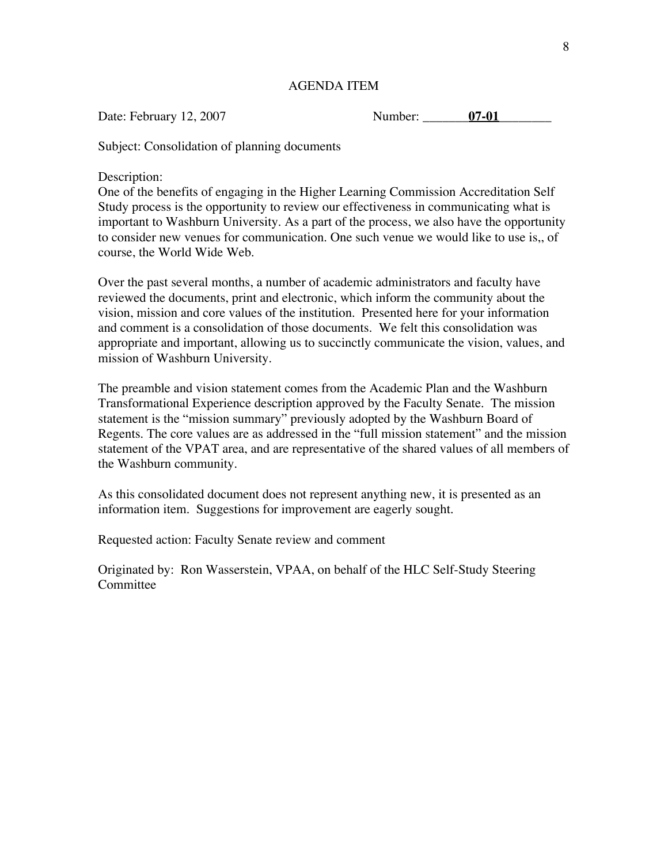### AGENDA ITEM

Date: February 12, 2007 Number: **07-01** 

Subject: Consolidation of planning documents

Description:

One of the benefits of engaging in the Higher Learning Commission Accreditation Self Study process is the opportunity to review our effectiveness in communicating what is important to Washburn University. As a part of the process, we also have the opportunity to consider new venues for communication. One such venue we would like to use is,, of course, the World Wide Web.

Over the past several months, a number of academic administrators and faculty have reviewed the documents, print and electronic, which inform the community about the vision, mission and core values of the institution. Presented here for your information and comment is a consolidation of those documents. We felt this consolidation was appropriate and important, allowing us to succinctly communicate the vision, values, and mission of Washburn University.

The preamble and vision statement comes from the Academic Plan and the Washburn Transformational Experience description approved by the Faculty Senate. The mission statement is the "mission summary" previously adopted by the Washburn Board of Regents. The core values are as addressed in the "full mission statement" and the mission statement of the VPAT area, and are representative of the shared values of all members of the Washburn community.

As this consolidated document does not represent anything new, it is presented as an information item. Suggestions for improvement are eagerly sought.

Requested action: Faculty Senate review and comment

Originated by: Ron Wasserstein, VPAA, on behalf of the HLC Self-Study Steering **Committee**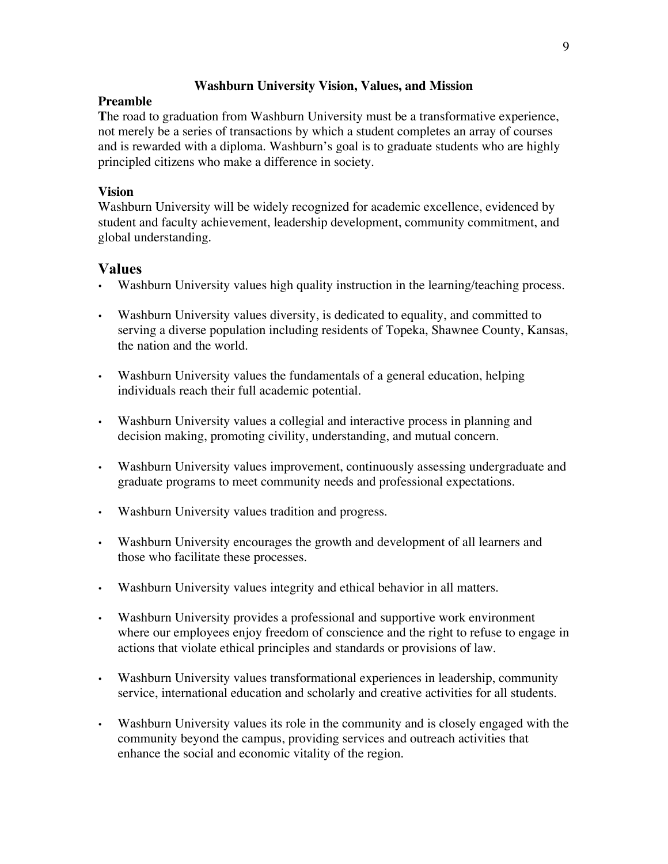### **Washburn University Vision, Values, and Mission**

### **Preamble**

**T**he road to graduation from Washburn University must be a transformative experience, not merely be a series of transactions by which a student completes an array of courses and is rewarded with a diploma. Washburn's goal is to graduate students who are highly principled citizens who make a difference in society.

### **Vision**

Washburn University will be widely recognized for academic excellence, evidenced by student and faculty achievement, leadership development, community commitment, and global understanding.

# Values

- Washburn University values high quality instruction in the learning/teaching process.
- Washburn University values diversity, is dedicated to equality, and committed to serving a diverse population including residents of Topeka, Shawnee County, Kansas, the nation and the world.
- Washburn University values the fundamentals of a general education, helping individuals reach their full academic potential.
- Washburn University values a collegial and interactive process in planning and decision making, promoting civility, understanding, and mutual concern.
- Washburn University values improvement, continuously assessing undergraduate and graduate programs to meet community needs and professional expectations.
- Washburn University values tradition and progress.
- Washburn University encourages the growth and development of all learners and those who facilitate these processes.
- Washburn University values integrity and ethical behavior in all matters.
- Washburn University provides a professional and supportive work environment where our employees enjoy freedom of conscience and the right to refuse to engage in actions that violate ethical principles and standards or provisions of law.
- Washburn University values transformational experiences in leadership, community service, international education and scholarly and creative activities for all students.
- Washburn University values its role in the community and is closely engaged with the community beyond the campus, providing services and outreach activities that enhance the social and economic vitality of the region.